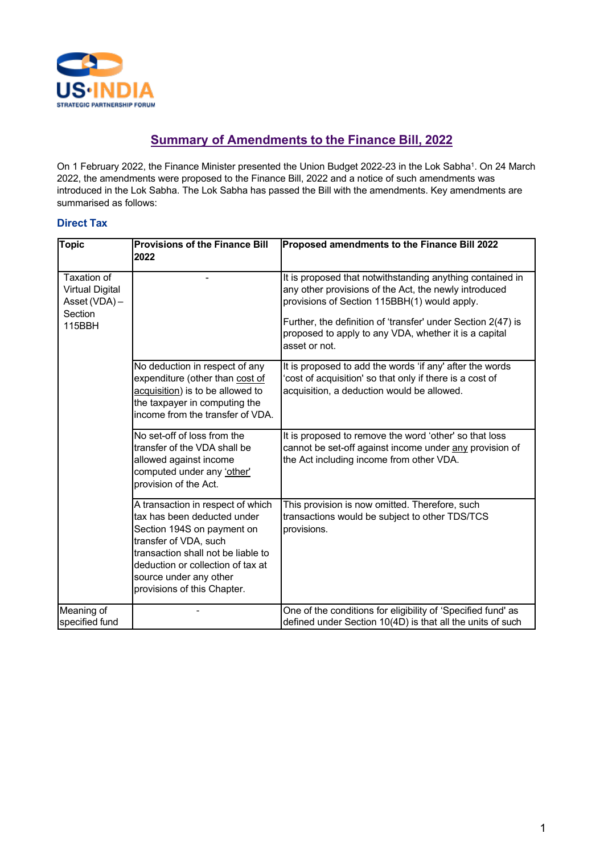

# **Summary of Amendments to the Finance Bill, 2022**

On 1 February 2022, the Finance Minister presented the Union Budget 2022-23 in the Lok Sabha<sup>1</sup>. On 24 March 2022, the amendments were proposed to the Finance Bill, 2022 and a notice of such amendments was introduced in the Lok Sabha. The Lok Sabha has passed the Bill with the amendments. Key amendments are summarised as follows:

## **Direct Tax**

| Topic                                                                       | <b>Provisions of the Finance Bill</b><br>2022                                                                                                                                                                                                               | Proposed amendments to the Finance Bill 2022                                                                                                                                                                                                                                                                 |
|-----------------------------------------------------------------------------|-------------------------------------------------------------------------------------------------------------------------------------------------------------------------------------------------------------------------------------------------------------|--------------------------------------------------------------------------------------------------------------------------------------------------------------------------------------------------------------------------------------------------------------------------------------------------------------|
| Taxation of<br><b>Virtual Digital</b><br>Asset (VDA) -<br>Section<br>115BBH |                                                                                                                                                                                                                                                             | It is proposed that notwithstanding anything contained in<br>any other provisions of the Act, the newly introduced<br>provisions of Section 115BBH(1) would apply.<br>Further, the definition of 'transfer' under Section 2(47) is<br>proposed to apply to any VDA, whether it is a capital<br>asset or not. |
|                                                                             | No deduction in respect of any<br>expenditure (other than cost of<br>acquisition) is to be allowed to<br>the taxpayer in computing the<br>income from the transfer of VDA.                                                                                  | It is proposed to add the words 'if any' after the words<br>cost of acquisition' so that only if there is a cost of<br>acquisition, a deduction would be allowed.                                                                                                                                            |
|                                                                             | No set-off of loss from the<br>transfer of the VDA shall be<br>allowed against income<br>computed under any 'other'<br>provision of the Act.                                                                                                                | It is proposed to remove the word 'other' so that loss<br>cannot be set-off against income under any provision of<br>the Act including income from other VDA.                                                                                                                                                |
|                                                                             | A transaction in respect of which<br>tax has been deducted under<br>Section 194S on payment on<br>transfer of VDA, such<br>transaction shall not be liable to<br>deduction or collection of tax at<br>source under any other<br>provisions of this Chapter. | This provision is now omitted. Therefore, such<br>transactions would be subject to other TDS/TCS<br>provisions.                                                                                                                                                                                              |
| Meaning of<br>specified fund                                                |                                                                                                                                                                                                                                                             | One of the conditions for eligibility of 'Specified fund' as<br>defined under Section 10(4D) is that all the units of such                                                                                                                                                                                   |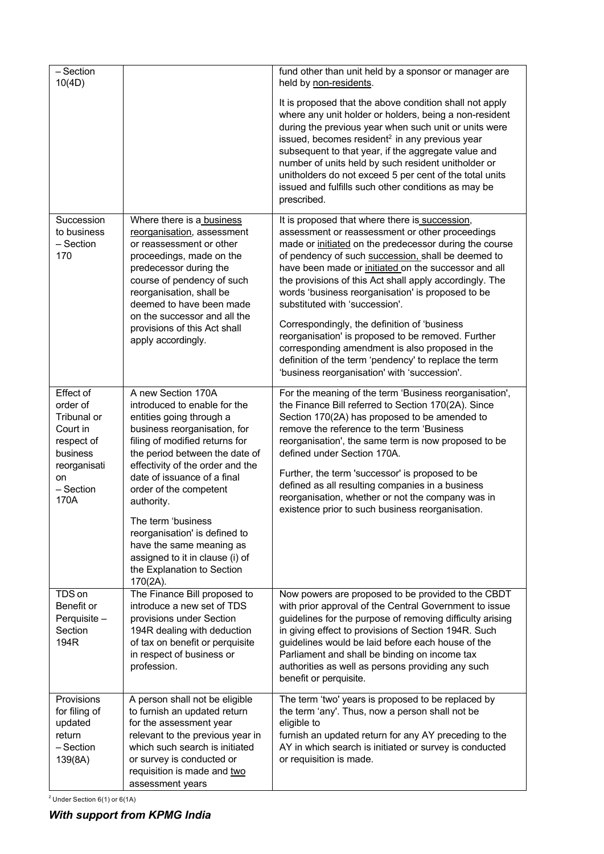| $-$ Section<br>10(4D)                                                                                                   |                                                                                                                                                                                                                                                                                                                                                                                                                                                                  | fund other than unit held by a sponsor or manager are<br>held by non-residents.                                                                                                                                                                                                                                                                                                                                                                                                                                                                                                                                                                                                               |
|-------------------------------------------------------------------------------------------------------------------------|------------------------------------------------------------------------------------------------------------------------------------------------------------------------------------------------------------------------------------------------------------------------------------------------------------------------------------------------------------------------------------------------------------------------------------------------------------------|-----------------------------------------------------------------------------------------------------------------------------------------------------------------------------------------------------------------------------------------------------------------------------------------------------------------------------------------------------------------------------------------------------------------------------------------------------------------------------------------------------------------------------------------------------------------------------------------------------------------------------------------------------------------------------------------------|
|                                                                                                                         |                                                                                                                                                                                                                                                                                                                                                                                                                                                                  | It is proposed that the above condition shall not apply<br>where any unit holder or holders, being a non-resident<br>during the previous year when such unit or units were<br>issued, becomes resident <sup>2</sup> in any previous year<br>subsequent to that year, if the aggregate value and<br>number of units held by such resident unitholder or<br>unitholders do not exceed 5 per cent of the total units<br>issued and fulfills such other conditions as may be<br>prescribed.                                                                                                                                                                                                       |
| Succession<br>to business<br>- Section<br>170                                                                           | Where there is a business<br>reorganisation, assessment<br>or reassessment or other<br>proceedings, made on the<br>predecessor during the<br>course of pendency of such<br>reorganisation, shall be<br>deemed to have been made<br>on the successor and all the<br>provisions of this Act shall<br>apply accordingly.                                                                                                                                            | It is proposed that where there is succession,<br>assessment or reassessment or other proceedings<br>made or initiated on the predecessor during the course<br>of pendency of such succession, shall be deemed to<br>have been made or initiated on the successor and all<br>the provisions of this Act shall apply accordingly. The<br>words 'business reorganisation' is proposed to be<br>substituted with 'succession'.<br>Correspondingly, the definition of 'business<br>reorganisation' is proposed to be removed. Further<br>corresponding amendment is also proposed in the<br>definition of the term 'pendency' to replace the term<br>'business reorganisation' with 'succession'. |
| Effect of<br>order of<br>Tribunal or<br>Court in<br>respect of<br>business<br>reorganisati<br>on<br>$-$ Section<br>170A | A new Section 170A<br>introduced to enable for the<br>entities going through a<br>business reorganisation, for<br>filing of modified returns for<br>the period between the date of<br>effectivity of the order and the<br>date of issuance of a final<br>order of the competent<br>authority.<br>The term 'business<br>reorganisation' is defined to<br>have the same meaning as<br>assigned to it in clause (i) of<br>the Explanation to Section<br>$170(2A)$ . | For the meaning of the term 'Business reorganisation',<br>the Finance Bill referred to Section 170(2A). Since<br>Section 170(2A) has proposed to be amended to<br>remove the reference to the term 'Business<br>reorganisation', the same term is now proposed to be<br>defined under Section 170A.<br>Further, the term 'successor' is proposed to be<br>defined as all resulting companies in a business<br>reorganisation, whether or not the company was in<br>existence prior to such business reorganisation.                                                                                                                                                                           |
| TDS on<br>Benefit or<br>Perquisite -<br>Section<br>194R                                                                 | The Finance Bill proposed to<br>introduce a new set of TDS<br>provisions under Section<br>194R dealing with deduction<br>of tax on benefit or perquisite<br>in respect of business or<br>profession.                                                                                                                                                                                                                                                             | Now powers are proposed to be provided to the CBDT<br>with prior approval of the Central Government to issue<br>guidelines for the purpose of removing difficulty arising<br>in giving effect to provisions of Section 194R. Such<br>guidelines would be laid before each house of the<br>Parliament and shall be binding on income tax<br>authorities as well as persons providing any such<br>benefit or perquisite.                                                                                                                                                                                                                                                                        |
| Provisions<br>for filing of<br>updated<br>return<br>$-$ Section<br>139(8A)                                              | A person shall not be eligible<br>to furnish an updated return<br>for the assessment year<br>relevant to the previous year in<br>which such search is initiated<br>or survey is conducted or<br>requisition is made and two<br>assessment years                                                                                                                                                                                                                  | The term 'two' years is proposed to be replaced by<br>the term 'any'. Thus, now a person shall not be<br>eligible to<br>furnish an updated return for any AY preceding to the<br>AY in which search is initiated or survey is conducted<br>or requisition is made.                                                                                                                                                                                                                                                                                                                                                                                                                            |

<sup>2</sup> Under Section 6(1) or 6(1A)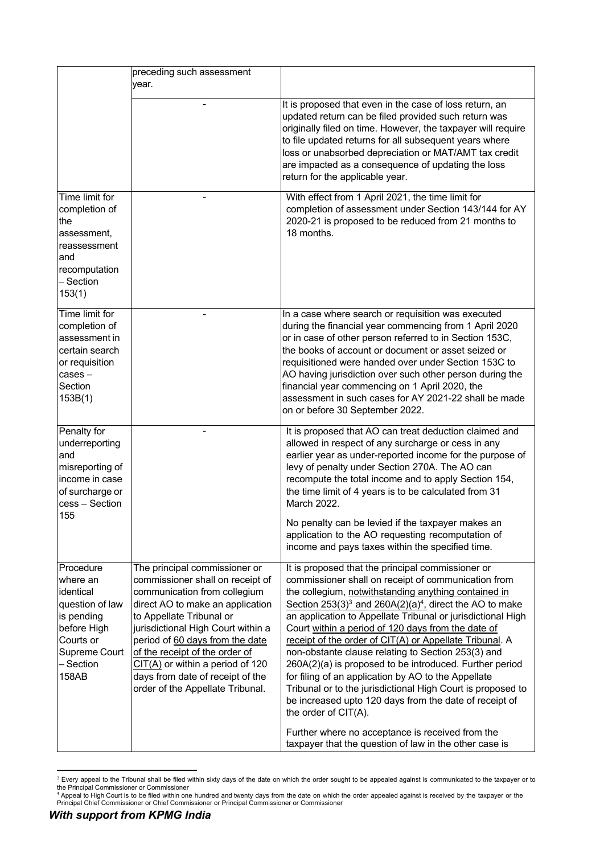|                                                                                                                                        | preceding such assessment                                                                                                                                                                                                                                                                                                                                                                  |                                                                                                                                                                                                                                                                                                                                                                                                                                                                                                                                                                                                                                                                                                                                            |
|----------------------------------------------------------------------------------------------------------------------------------------|--------------------------------------------------------------------------------------------------------------------------------------------------------------------------------------------------------------------------------------------------------------------------------------------------------------------------------------------------------------------------------------------|--------------------------------------------------------------------------------------------------------------------------------------------------------------------------------------------------------------------------------------------------------------------------------------------------------------------------------------------------------------------------------------------------------------------------------------------------------------------------------------------------------------------------------------------------------------------------------------------------------------------------------------------------------------------------------------------------------------------------------------------|
|                                                                                                                                        | vear.                                                                                                                                                                                                                                                                                                                                                                                      |                                                                                                                                                                                                                                                                                                                                                                                                                                                                                                                                                                                                                                                                                                                                            |
|                                                                                                                                        |                                                                                                                                                                                                                                                                                                                                                                                            | It is proposed that even in the case of loss return, an<br>updated return can be filed provided such return was<br>originally filed on time. However, the taxpayer will require<br>to file updated returns for all subsequent years where<br>loss or unabsorbed depreciation or MAT/AMT tax credit<br>are impacted as a consequence of updating the loss<br>return for the applicable year.                                                                                                                                                                                                                                                                                                                                                |
| Time limit for<br>completion of<br>the<br>assessment,<br>reassessment<br>and<br>recomputation<br>– Section<br>153(1)                   |                                                                                                                                                                                                                                                                                                                                                                                            | With effect from 1 April 2021, the time limit for<br>completion of assessment under Section 143/144 for AY<br>2020-21 is proposed to be reduced from 21 months to<br>18 months.                                                                                                                                                                                                                                                                                                                                                                                                                                                                                                                                                            |
| Time limit for<br>completion of<br>assessment in<br>certain search<br>or requisition<br>$cases -$<br>Section<br>153B(1)                |                                                                                                                                                                                                                                                                                                                                                                                            | In a case where search or requisition was executed<br>during the financial year commencing from 1 April 2020<br>or in case of other person referred to in Section 153C,<br>the books of account or document or asset seized or<br>requisitioned were handed over under Section 153C to<br>AO having jurisdiction over such other person during the<br>financial year commencing on 1 April 2020, the<br>assessment in such cases for AY 2021-22 shall be made<br>on or before 30 September 2022.                                                                                                                                                                                                                                           |
| Penalty for<br>underreporting<br>and<br>misreporting of<br>income in case<br>of surcharge or<br>cess - Section<br>155                  |                                                                                                                                                                                                                                                                                                                                                                                            | It is proposed that AO can treat deduction claimed and<br>allowed in respect of any surcharge or cess in any<br>earlier year as under-reported income for the purpose of<br>levy of penalty under Section 270A. The AO can<br>recompute the total income and to apply Section 154,<br>the time limit of 4 years is to be calculated from 31<br>March 2022.<br>No penalty can be levied if the taxpayer makes an<br>application to the AO requesting recomputation of<br>income and pays taxes within the specified time.                                                                                                                                                                                                                   |
| Procedure<br>where an<br>identical<br>question of law<br>is pending<br>before High<br>Courts or<br>Supreme Court<br>- Section<br>158AB | The principal commissioner or<br>commissioner shall on receipt of<br>communication from collegium<br>direct AO to make an application<br>to Appellate Tribunal or<br>jurisdictional High Court within a<br>period of 60 days from the date<br>of the receipt of the order of<br>$CIT(A)$ or within a period of 120<br>days from date of receipt of the<br>order of the Appellate Tribunal. | It is proposed that the principal commissioner or<br>commissioner shall on receipt of communication from<br>the collegium, notwithstanding anything contained in<br>Section $253(3)^3$ and $260A(2)(a)^4$ , direct the AO to make<br>an application to Appellate Tribunal or jurisdictional High<br>Court within a period of 120 days from the date of<br>receipt of the order of CIT(A) or Appellate Tribunal. A<br>non-obstante clause relating to Section 253(3) and<br>260A(2)(a) is proposed to be introduced. Further period<br>for filing of an application by AO to the Appellate<br>Tribunal or to the jurisdictional High Court is proposed to<br>be increased upto 120 days from the date of receipt of<br>the order of CIT(A). |
|                                                                                                                                        |                                                                                                                                                                                                                                                                                                                                                                                            | Further where no acceptance is received from the<br>taxpayer that the question of law in the other case is                                                                                                                                                                                                                                                                                                                                                                                                                                                                                                                                                                                                                                 |

<sup>&</sup>lt;sup>3</sup> Every appeal to the Tribunal shall be filed within sixty days of the date on which the order sought to be appealed against is communicated to the taxpayer or to<br>the Principal Commissioner or Commissioner<br><sup>4</sup> Appeal to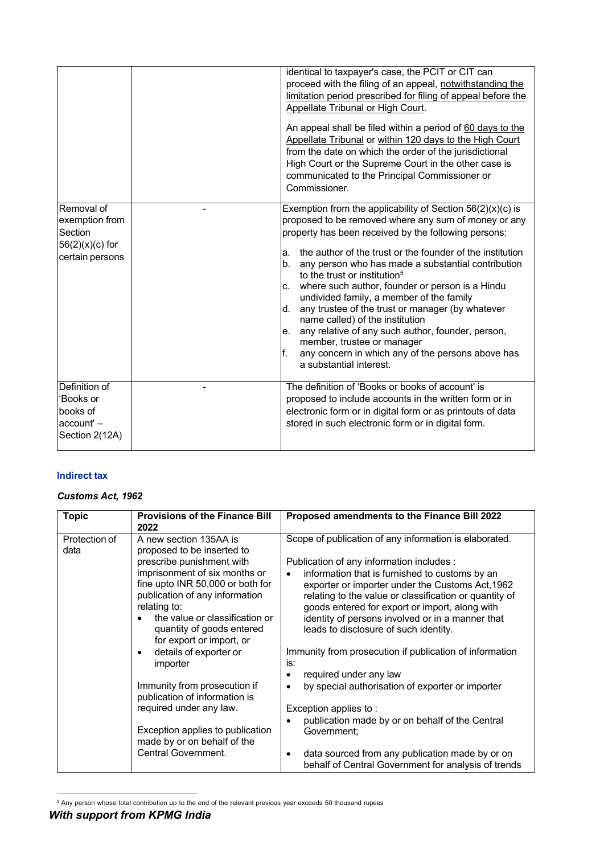|                                                                                 |                                   | identical to taxpayer's case, the PCIT or CIT can<br>proceed with the filing of an appeal, notwithstanding the<br>limitation period prescribed for filing of appeal before the<br>Appellate Tribunal or High Court.<br>An appeal shall be filed within a period of 60 days to the<br>Appellate Tribunal or within 120 days to the High Court<br>from the date on which the order of the jurisdictional<br>High Court or the Supreme Court in the other case is<br>communicated to the Principal Commissioner or<br>Commissioner.                                                                                                                                                                     |
|---------------------------------------------------------------------------------|-----------------------------------|------------------------------------------------------------------------------------------------------------------------------------------------------------------------------------------------------------------------------------------------------------------------------------------------------------------------------------------------------------------------------------------------------------------------------------------------------------------------------------------------------------------------------------------------------------------------------------------------------------------------------------------------------------------------------------------------------|
| Removal of<br>exemption from<br>Section<br>$56(2)(x)(c)$ for<br>certain persons | a.<br>b.<br>C.<br>d.<br>le.<br>f. | Exemption from the applicability of Section $56(2)(x)(c)$ is<br>proposed to be removed where any sum of money or any<br>property has been received by the following persons:<br>the author of the trust or the founder of the institution<br>any person who has made a substantial contribution<br>to the trust or institution <sup>5</sup><br>where such author, founder or person is a Hindu<br>undivided family, a member of the family<br>any trustee of the trust or manager (by whatever<br>name called) of the institution<br>any relative of any such author, founder, person,<br>member, trustee or manager<br>any concern in which any of the persons above has<br>a substantial interest. |
| Definition of<br>'Books or<br>books of<br>$account' -$<br>Section 2(12A)        |                                   | The definition of 'Books or books of account' is<br>proposed to include accounts in the written form or in<br>electronic form or in digital form or as printouts of data<br>stored in such electronic form or in digital form.                                                                                                                                                                                                                                                                                                                                                                                                                                                                       |

### **Indirect tax**

#### *Customs Act, 1962*

| <b>Topic</b>          | <b>Provisions of the Finance Bill</b><br>2022                                                                                                                                            | Proposed amendments to the Finance Bill 2022                                                                                                                                                                                                                                     |
|-----------------------|------------------------------------------------------------------------------------------------------------------------------------------------------------------------------------------|----------------------------------------------------------------------------------------------------------------------------------------------------------------------------------------------------------------------------------------------------------------------------------|
| Protection of<br>data | A new section 135AA is<br>proposed to be inserted to<br>prescribe punishment with<br>imprisonment of six months or<br>fine upto INR 50,000 or both for<br>publication of any information | Scope of publication of any information is elaborated.<br>Publication of any information includes :<br>information that is furnished to customs by an<br>$\bullet$<br>exporter or importer under the Customs Act, 1962<br>relating to the value or classification or quantity of |
|                       | relating to:<br>the value or classification or<br>quantity of goods entered<br>for export or import, or<br>details of exporter or                                                        | goods entered for export or import, along with<br>identity of persons involved or in a manner that<br>leads to disclosure of such identity.<br>Immunity from prosecution if publication of information                                                                           |
|                       | importer                                                                                                                                                                                 | is:<br>required under any law                                                                                                                                                                                                                                                    |
|                       | Immunity from prosecution if<br>publication of information is                                                                                                                            | by special authorisation of exporter or importer<br>$\bullet$                                                                                                                                                                                                                    |
|                       | required under any law.                                                                                                                                                                  | Exception applies to:                                                                                                                                                                                                                                                            |
|                       | Exception applies to publication<br>made by or on behalf of the                                                                                                                          | publication made by or on behalf of the Central<br>Government;                                                                                                                                                                                                                   |
|                       | Central Government.                                                                                                                                                                      | data sourced from any publication made by or on<br>٠<br>behalf of Central Government for analysis of trends                                                                                                                                                                      |

<sup>5</sup> Any person whose total contribution up to the end of the relevant previous year exceeds 50 thousand rupees